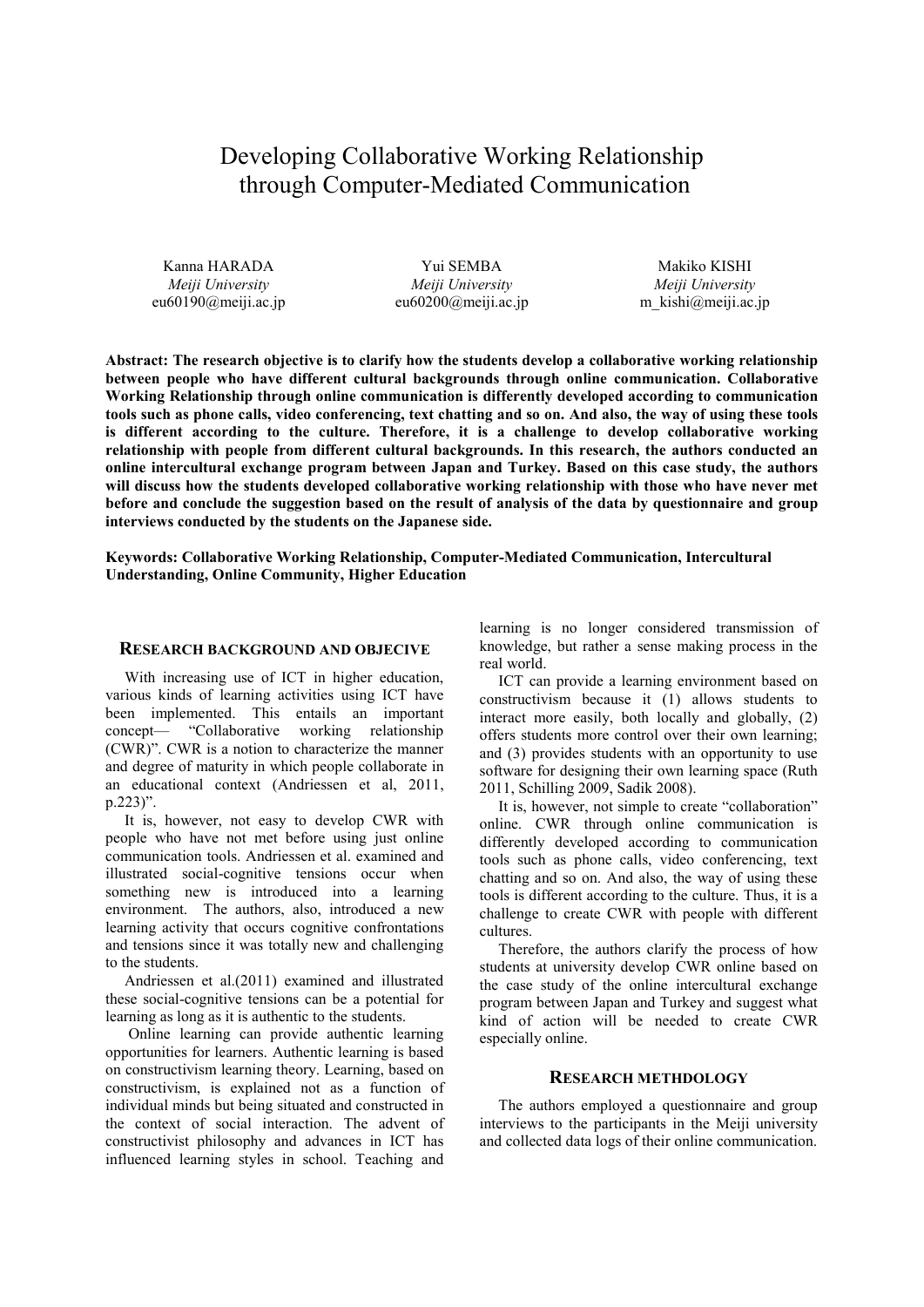# Developing Collaborative Working Relationship through Computer-Mediated Communication

Kanna HARADA *Meiji University* eu60190@meiji.ac.jp

Yui SEMBA *Meiji University* eu60200@meiji.ac.jp

Makiko KISHI *Meiji University* m\_kishi@meiji.ac.jp

**Abstract: The research objective is to clarify how the students develop a collaborative working relationship between people who have different cultural backgrounds through online communication. Collaborative Working Relationship through online communication is differently developed according to communication tools such as phone calls, video conferencing, text chatting and so on. And also, the way of using these tools is different according to the culture. Therefore, it is a challenge to develop collaborative working relationship with people from different cultural backgrounds. In this research, the authors conducted an online intercultural exchange program between Japan and Turkey. Based on this case study, the authors will discuss how the students developed collaborative working relationship with those who have never met before and conclude the suggestion based on the result of analysis of the data by questionnaire and group interviews conducted by the students on the Japanese side.** 

**Keywords: Collaborative Working Relationship, Computer-Mediated Communication, Intercultural Understanding, Online Community, Higher Education**

#### **RESEARCH BACKGROUND AND OBJECIVE**

With increasing use of ICT in higher education, various kinds of learning activities using ICT have been implemented. This entails an important concept— "Collaborative working relationship (CWR)". CWR is a notion to characterize the manner and degree of maturity in which people collaborate in an educational context (Andriessen et al, 2011, p.223)".

It is, however, not easy to develop CWR with people who have not met before using just online communication tools. Andriessen et al. examined and illustrated social-cognitive tensions occur when something new is introduced into a learning environment. The authors, also, introduced a new learning activity that occurs cognitive confrontations and tensions since it was totally new and challenging to the students.

Andriessen et al.(2011) examined and illustrated these social-cognitive tensions can be a potential for learning as long as it is authentic to the students.

 Online learning can provide authentic learning opportunities for learners. Authentic learning is based on constructivism learning theory. Learning, based on constructivism, is explained not as a function of individual minds but being situated and constructed in the context of social interaction. The advent of constructivist philosophy and advances in ICT has influenced learning styles in school. Teaching and

learning is no longer considered transmission of knowledge, but rather a sense making process in the real world.

ICT can provide a learning environment based on constructivism because it (1) allows students to interact more easily, both locally and globally, (2) offers students more control over their own learning; and (3) provides students with an opportunity to use software for designing their own learning space (Ruth 2011, Schilling 2009, Sadik 2008).

It is, however, not simple to create "collaboration" online. CWR through online communication is differently developed according to communication tools such as phone calls, video conferencing, text chatting and so on. And also, the way of using these tools is different according to the culture. Thus, it is a challenge to create CWR with people with different cultures.

Therefore, the authors clarify the process of how students at university develop CWR online based on the case study of the online intercultural exchange program between Japan and Turkey and suggest what kind of action will be needed to create CWR especially online.

## **RESEARCH METHDOLOGY**

The authors employed a questionnaire and group interviews to the participants in the Meiji university and collected data logs of their online communication.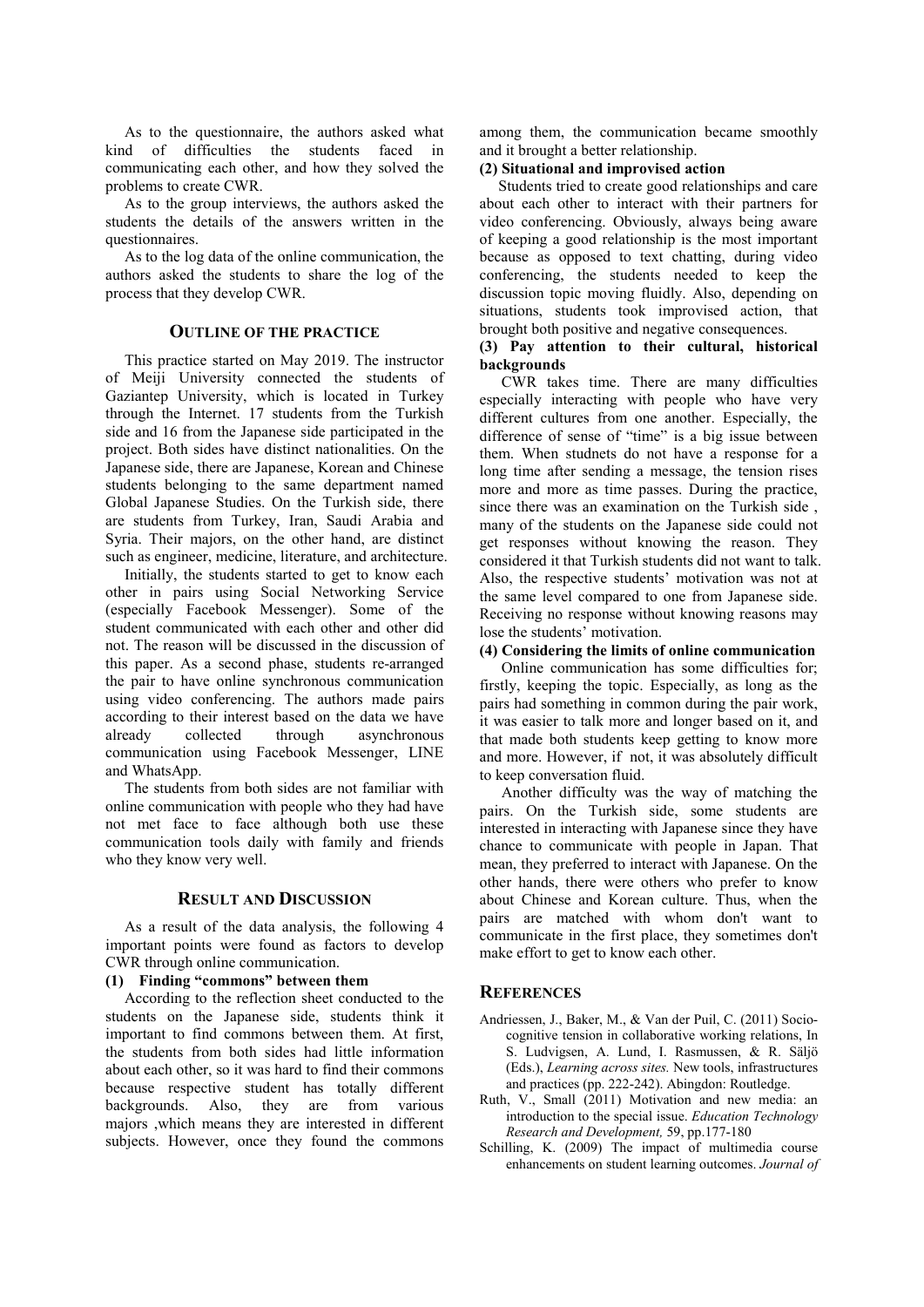As to the questionnaire, the authors asked what kind of difficulties the students faced in communicating each other, and how they solved the problems to create CWR.

As to the group interviews, the authors asked the students the details of the answers written in the questionnaires.

As to the log data of the online communication, the authors asked the students to share the log of the process that they develop CWR.

## **OUTLINE OF THE PRACTICE**

This practice started on May 2019. The instructor of Meiji University connected the students of Gaziantep University, which is located in Turkey through the Internet. 17 students from the Turkish side and 16 from the Japanese side participated in the project. Both sides have distinct nationalities. On the Japanese side, there are Japanese, Korean and Chinese students belonging to the same department named Global Japanese Studies. On the Turkish side, there are students from Turkey, Iran, Saudi Arabia and Syria. Their majors, on the other hand, are distinct such as engineer, medicine, literature, and architecture.

Initially, the students started to get to know each other in pairs using Social Networking Service (especially Facebook Messenger). Some of the student communicated with each other and other did not. The reason will be discussed in the discussion of this paper. As a second phase, students re-arranged the pair to have online synchronous communication using video conferencing. The authors made pairs according to their interest based on the data we have already collected through asynchronous communication using Facebook Messenger, LINE and WhatsApp.

The students from both sides are not familiar with online communication with people who they had have not met face to face although both use these communication tools daily with family and friends who they know very well.

#### **RESULT AND DISCUSSION**

As a result of the data analysis, the following 4 important points were found as factors to develop CWR through online communication.

### **(1) Finding "commons" between them**

According to the reflection sheet conducted to the students on the Japanese side, students think it important to find commons between them. At first, the students from both sides had little information about each other, so it was hard to find their commons because respective student has totally different backgrounds. Also, they are from various majors ,which means they are interested in different subjects. However, once they found the commons

among them, the communication became smoothly and it brought a better relationship.

## **(2) Situational and improvised action**

Students tried to create good relationships and care about each other to interact with their partners for video conferencing. Obviously, always being aware of keeping a good relationship is the most important because as opposed to text chatting, during video conferencing, the students needed to keep the discussion topic moving fluidly. Also, depending on situations, students took improvised action, that brought both positive and negative consequences.

### **(3) Pay attention to their cultural, historical backgrounds**

CWR takes time. There are many difficulties especially interacting with people who have very different cultures from one another. Especially, the difference of sense of "time" is a big issue between them. When studnets do not have a response for a long time after sending a message, the tension rises more and more as time passes. During the practice, since there was an examination on the Turkish side , many of the students on the Japanese side could not get responses without knowing the reason. They considered it that Turkish students did not want to talk. Also, the respective students' motivation was not at the same level compared to one from Japanese side. Receiving no response without knowing reasons may lose the students' motivation.

## **(4) Considering the limits of online communication**  Online communication has some difficulties for; firstly, keeping the topic. Especially, as long as the pairs had something in common during the pair work, it was easier to talk more and longer based on it, and that made both students keep getting to know more and more. However, if not, it was absolutely difficult to keep conversation fluid.

Another difficulty was the way of matching the pairs. On the Turkish side, some students are interested in interacting with Japanese since they have chance to communicate with people in Japan. That mean, they preferred to interact with Japanese. On the other hands, there were others who prefer to know about Chinese and Korean culture. Thus, when the pairs are matched with whom don't want to communicate in the first place, they sometimes don't make effort to get to know each other.

## **REFERENCES**

- Andriessen, J., Baker, M., & Van der Puil, C. (2011) Sociocognitive tension in collaborative working relations, In S. Ludvigsen, A. Lund, I. Rasmussen, & R. Säljö (Eds.), *Learning across sites.* New tools, infrastructures and practices (pp. 222-242). Abingdon: Routledge.
- Ruth, V., Small (2011) Motivation and new media: an introduction to the special issue. *Education Technology Research and Development,* 59, pp.177-180
- Schilling, K. (2009) The impact of multimedia course enhancements on student learning outcomes. *Journal of*